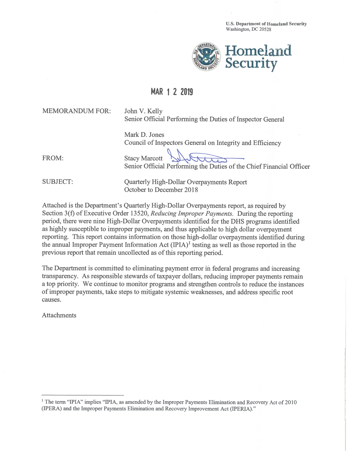**U.S. Department of Homeland Security** Washington, DC 20528



## MAR 1 2 2019

**MEMORANDUM FOR:** 

John V. Kelly Senior Official Performing the Duties of Inspector General

Mark D. Jones Council of Inspectors General on Integrity and Efficiency

FROM:

**Stacy Marcott** Senior Official Performing the Duties of the Chief Financial Officer

**SUBJECT:** 

Quarterly High-Dollar Overpayments Report October to December 2018

Attached is the Department's Quarterly High-Dollar Overpayments report, as required by Section 3(f) of Executive Order 13520, Reducing Improper Payments. During the reporting period, there were nine High-Dollar Overpayments identified for the DHS programs identified as highly susceptible to improper payments, and thus applicable to high dollar overpayment reporting. This report contains information on those high-dollar overpayments identified during the annual Improper Payment Information Act  $(IPIA)^1$  testing as well as those reported in the previous report that remain uncollected as of this reporting period.

The Department is committed to eliminating payment error in federal programs and increasing transparency. As responsible stewards of taxpayer dollars, reducing improper payments remain a top priority. We continue to monitor programs and strengthen controls to reduce the instances of improper payments, take steps to mitigate systemic weaknesses, and address specific root causes.

**Attachments** 

<sup>&</sup>lt;sup>1</sup> The term "IPIA" implies "IPIA, as amended by the Improper Payments Elimination and Recovery Act of 2010 (IPERA) and the Improper Payments Elimination and Recovery Improvement Act (IPERIA)."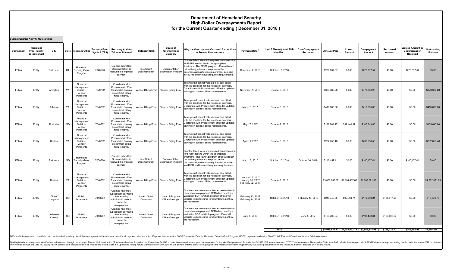## **Department of Homeland Security High-Dollar Overpayments Report for the Current Quarter ending ( December 31, 2018 )**

|             | <b>Current Quarter Activity Outstanding</b>               |                     |                                                                  |              |                                                                                                                    |                                  |                                             |                                                                                                                                                                                                                                                                                                          |                                                           |                                                                        |                   |                    |                                                  |                                              |                     |                                                      |                        |
|-------------|-----------------------------------------------------------|---------------------|------------------------------------------------------------------|--------------|--------------------------------------------------------------------------------------------------------------------|----------------------------------|---------------------------------------------|----------------------------------------------------------------------------------------------------------------------------------------------------------------------------------------------------------------------------------------------------------------------------------------------------------|-----------------------------------------------------------|------------------------------------------------------------------------|-------------------|--------------------|--------------------------------------------------|----------------------------------------------|---------------------|------------------------------------------------------|------------------------|
| Component   | <b>Recipient</b><br><b>Type (Entity</b><br>or Individual) | City                | State Program Office                                             | Symbol (TFS) | Treasury Fund Recovery Actions<br><b>Taken or Planned</b>                                                          | Category (Bill)                  | <b>Cause of</b><br>Overpayment<br>Category  | Why the Overpayment Occurred And Actions<br>to Prevent Reoccurrence                                                                                                                                                                                                                                      | <b>Payment Date</b>                                       | High \$ Overpayment Date   Date Overpayment<br>Identified <sup>2</sup> | Recouped          | <b>Amount Paid</b> | Correct<br>Amount                                | Overpayment<br>Amount                        | Recovered<br>Amount | <b>Waived Amount or</b><br>Documentation<br>Received | Outstanding<br>Balance |
| <b>FEMA</b> | Entity                                                    | Salt Lake           | Homeland<br>UT<br><b>Security Grant</b><br>Program               | 7040560      | Grantee submitted<br>Documentation to<br>resolved the improper<br>payment                                          | Insufficient<br>Documentation    | Documentation                               | Grantee failed to submit required documentation<br>for IPERA testing within the appropriate<br>timeframe. The FEMA program office will reach<br>out to the grantee and emphasize the<br>Submission Problem documentation retention requirement as noted<br>in 44CFR and the audit requests requirements. | December 2, 2016                                          | October 10, 2018                                                       |                   | \$226,037.57       | \$0.00                                           | \$226,037.57                                 | \$0.00              | \$226,037.57                                         | \$0.00                 |
| <b>FEMA</b> | Entity                                                    | Arlington           | Financial<br>Management<br>VA<br>Division-<br>Vendor<br>Payments | 70x0702      | Coordinate with<br>Procurement office<br>for updated training<br>on contract billing<br>requirements.              |                                  |                                             | Testing staff cannot validate total cost billed,<br>with the condition for the release of payment.<br>Coordinate with Procurement office for updated<br>Vendor Billing Error   Vendor Billing Error   training on contract billing requirements.                                                         | November 9, 2016                                          | October 9, 2018                                                        |                   | \$373,386.28       | \$0.00                                           | \$373,386.28                                 | \$0.00              | \$0.00                                               | \$373,386.28           |
| <b>FEMA</b> | Entity                                                    | Ashburn             | Financial<br>Management<br>VA<br>Division-<br>Vendor<br>Payments | 70x0702      | Coordinate with<br>Procurement office<br>for updated training<br>on contract billing<br>requirements.              |                                  | Vendor Billing Error   Vendor Billing Error | Testing staff cannot validate total cost billed,<br>with the condition for the release of payment.<br>Coordinate with Procurement office for updated<br>training on contract billing requirements.                                                                                                       | March 9, 2017                                             | October 9, 2018                                                        |                   | \$410,000.00       | \$0.00                                           | \$410,000.00                                 | \$0.00              | \$0.00                                               | \$410,000.00           |
| <b>FEMA</b> | Entity                                                    | Rockville           | Financial<br>Management<br>MD<br>Division-<br>Vendor<br>Payments | 70x0702      | Coordinate with<br>Procurement office<br>for updated training<br>on contract billing<br>requirements.              |                                  | Vendor Billing Error   Vendor Billing Error | Testing staff cannot validate total cost billed,<br>with the condition for the release of payment.<br>Coordinate with Procurement office for updated<br>training on contract billing requirements.                                                                                                       | May 17, 2017                                              | October 9, 2018                                                        |                   | \$198,284.17       | \$92,440.37                                      | \$105,843.80                                 | \$0.00              | \$0.00                                               | \$105,843.80           |
| <b>FEMA</b> | Entity                                                    | Reston              | Financial<br>Management<br>VA<br>Division-<br>Vendor<br>Payments | 70x0702      | Coordinate with<br>Procurement office<br>for updated training<br>on contract billing<br>requirements.              |                                  | Vendor Billing Error   Vendor Billing Error | Testing staff cannot validate total cost billed,<br>with the condition for the release of payment.<br>Coordinate with Procurement office for updated<br>training on contract billing requirements.                                                                                                       | April 19, 2017                                            | October 9, 2018                                                        |                   | \$232,658.48       | \$0.00                                           | \$232,658.48                                 | \$0.00              | \$0.00                                               | \$232,658.48           |
| <b>FEMA</b> | Entity                                                    | Baltimore           | Homeland<br>MD<br><b>Security Grant</b><br>Program               | 7050560      | Grantee submitted<br>Documentation to<br>esolved the improper<br>payment                                           | Insufficient<br>Documentation    | Documentation                               | Grantee failed to submit required documentation<br>for IPERA testing within the appropriate<br>timeframe. The FEMA program office will reach<br>out to the grantee and emphasize the<br>Submission Problem documentation retention requirement as noted<br>in 44CFR and the audit requests requirements  | March 3, 2017                                             | October 10, 2018                                                       | October 30, 2018  | \$140,457.41       | \$0.00                                           | \$140,457.41                                 | \$0.00              | \$140,457.41                                         | \$0.00                 |
| <b>FEMA</b> | Entity                                                    | Reston              | Financial<br>Management<br>VA<br>Division-<br>Vendor<br>Payments | 70x0702      | Coordinate with<br>Procurement office<br>for updated training<br>on contract billing<br>requirements.              |                                  | Vendor Billing Error   Vendor Billing Error | Testing staff cannot validate total cost billed,<br>with the condition for the release of payment.<br>Coordinate with Procurement office for updated<br>training on contract billing requirements.                                                                                                       | January 27, 2017<br>January 30, 2017<br>February 22, 2017 | October 9, 2018                                                        |                   |                    | \$3,056,859.67   \$1,194,487.68   \$1,862,371.99 |                                              | \$0.00              | \$0.00                                               | \$1,862,371.99         |
| <b>FEMA</b> | Entity                                                    | City of<br>Longmont | Public<br>CO<br>Assistance                                       | 70X0702      | Grantee has offset<br>subsequent payments<br>from existing<br>obliations in order to<br>correct the<br>overpayment | <b>Invalid Grant</b><br>Drawdown | Lack of Program<br>Office Oversight         | Grantee drew down more than expended which<br>caused an overpayment. FEMA has develop a<br>Validation SOP in which program offices will<br>valdiate expendetures for drawdowns as they<br>are requested.                                                                                                 | February 13, 2017<br>February 14, 2017                    | October 12, 2018                                                       | February 14, 2017 | \$214,745.55       | \$96,694.74                                      | \$118,050.81                                 | \$105,817.09        | \$0.00                                               | \$12,233,72            |
| <b>FEMA</b> | Entity                                                    | Jefferson<br>County | Public<br>$_{\rm CO}$<br>Assistance                              | 70X0702      | Grantee has offset<br>ubsequent payments<br>from existing<br>obliations in order to<br>correct the<br>overpayment  | <b>Invalid Grant</b><br>Drawdown | Lack of Program<br>Office Oversight         | Grantee drew down more than expended which<br>caused an overpayment. FEMA has develop a<br>Validation SOP in which program offices will<br>valdiate expendetures for drawdowns as they<br>are requested.                                                                                                 | June 5, 2017                                              | October 12, 2018                                                       | June 5, 2017      | \$193,408.64       | \$0.00                                           | \$193,408.64                                 | \$193,408.64        | \$0.00                                               | \$0.00                 |
|             |                                                           |                     |                                                                  |              |                                                                                                                    |                                  |                                             |                                                                                                                                                                                                                                                                                                          |                                                           | <b>Total</b>                                                           |                   |                    |                                                  | \$5,045,837.77 \$1,383,622.79 \$3,662,214.98 | \$299,225.73        | \$366,494.98                                         | \$2,996,494.27         |

1) For multiple payments consolidated into one identified quarterly high dollar overpayment to the individual or entity, all payment dates are noted. Payment date sare hoted. Payment date set as the PARS Transaction Date f

2) All high dollar overpayments identified were discovered through the imptoper Payment Information Act (IPIA) annual review. As part of the PhA review, DHS Components review proposents review proposents for enter allow FE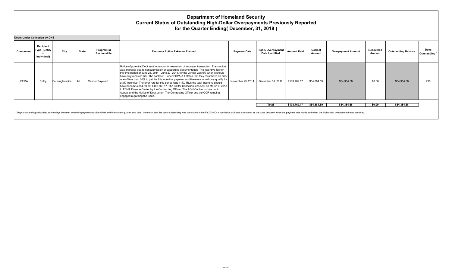## **Department of Homeland Security Current Status of Outstanding High-Dollar Overpayments Previously Reported for the Quarter Ending( December, 31, 2018 )**

| <b>Debts Under Collection by DHS</b> |                                          |                 |              |                           |                                                                                                                                                                                                                                                                                                                                                                                                                                                                                                                                                                                                                                                                                                                                                                                                                                                                          |                     |                                                      |                    |                   |                           |                     |                            |                                  |
|--------------------------------------|------------------------------------------|-----------------|--------------|---------------------------|--------------------------------------------------------------------------------------------------------------------------------------------------------------------------------------------------------------------------------------------------------------------------------------------------------------------------------------------------------------------------------------------------------------------------------------------------------------------------------------------------------------------------------------------------------------------------------------------------------------------------------------------------------------------------------------------------------------------------------------------------------------------------------------------------------------------------------------------------------------------------|---------------------|------------------------------------------------------|--------------------|-------------------|---------------------------|---------------------|----------------------------|----------------------------------|
| Component                            | Recipient<br>Type (Entity<br>Individual) | City            | <b>State</b> | Program(s)<br>Responsible | Recovery Action Taken or Planned                                                                                                                                                                                                                                                                                                                                                                                                                                                                                                                                                                                                                                                                                                                                                                                                                                         | <b>Payment Date</b> | <b>High \$ Overpayment</b><br><b>Date Identified</b> | <b>Amount Paid</b> | Correct<br>Amount | <b>Overpayment Amount</b> | Recovered<br>Amount | <b>Outstanding Balance</b> | Days<br>Outstanding <sup>1</sup> |
| <b>FEMA</b>                          | Entity                                   | Farmingtonmills |              | Vendor Payment            | Notice of potential Debt sent to vendor for resolution of improper transaction. Transaction<br>was improper due to nonsubmission of supporting documentation. The incentive fee for<br>the time period of June 23, 2014 - June 27, 2014, for the vendor was 6% when it should<br>have only received 3%. The contract, under SSPA-3 it states that they must have an error<br>rate of less than 10% to get the 6% incentive payment and therefore would only qualify for<br>a 3% incentive. The error rate for this period was 11%. Thus the total incentive should<br>have been \$54,384.59 not \$108,769.17. The Bill for Collection was sent on March 8, 2018<br>to FEMA Finance Center by the Contracting Officer. The AON Contractor has put in<br>Appeal and the Notice of Debt Letter. The Contracting Officer and the COR remaing<br>engaged regarding the issue. | November 25, 2014   | December 31, 2016                                    | \$108,769.17       | \$54,384.59       | \$54,384.58               | \$0.00              | \$54,384.58                | 730                              |
|                                      |                                          |                 |              |                           |                                                                                                                                                                                                                                                                                                                                                                                                                                                                                                                                                                                                                                                                                                                                                                                                                                                                          |                     | <b>Total</b>                                         | \$108,769.17       | \$54,384.59       | \$54,384.58               | \$0.00              | \$54,384.58                |                                  |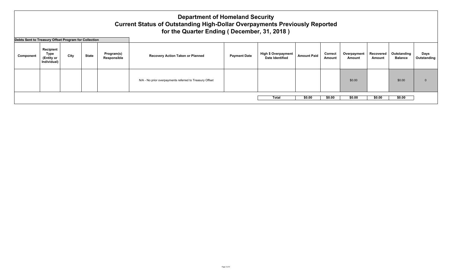## **Department of Homeland Security Current Status of Outstanding High-Dollar Overpayments Previously Reported for the Quarter Ending ( December, 31, 2018 )**

**Debts Sent to Treasury Offset Program for Collection**

| <b>PENIS DETIC ID THE SUITE OF SECT TUGHERS OF CONFECTION</b> |  |      |              |                           |                                                                |  |                                               |                    |                          |                       |                     |                               |                     |
|---------------------------------------------------------------|--|------|--------------|---------------------------|----------------------------------------------------------------|--|-----------------------------------------------|--------------------|--------------------------|-----------------------|---------------------|-------------------------------|---------------------|
| Recipient<br>Type<br>Component<br>(Entity or<br>Individual)   |  | City | <b>State</b> | Program(s)<br>Responsible | <b>Payment Date</b><br><b>Recovery Action Taken or Planned</b> |  | High \$ Overpayment<br><b>Date Identified</b> | <b>Amount Paid</b> | <b>Correct</b><br>Amount | Overpayment<br>Amount | Recovered<br>Amount | Outstanding<br><b>Balance</b> | Days<br>Outstanding |
|                                                               |  |      |              |                           | N/A - No prior overpayments referred to Treasury Offset        |  |                                               |                    |                          | \$0.00                |                     | \$0.00                        |                     |
|                                                               |  |      |              |                           |                                                                |  | <b>Total</b>                                  | \$0.00             | \$0.00                   | \$0.00                | \$0.00              | \$0.00                        |                     |